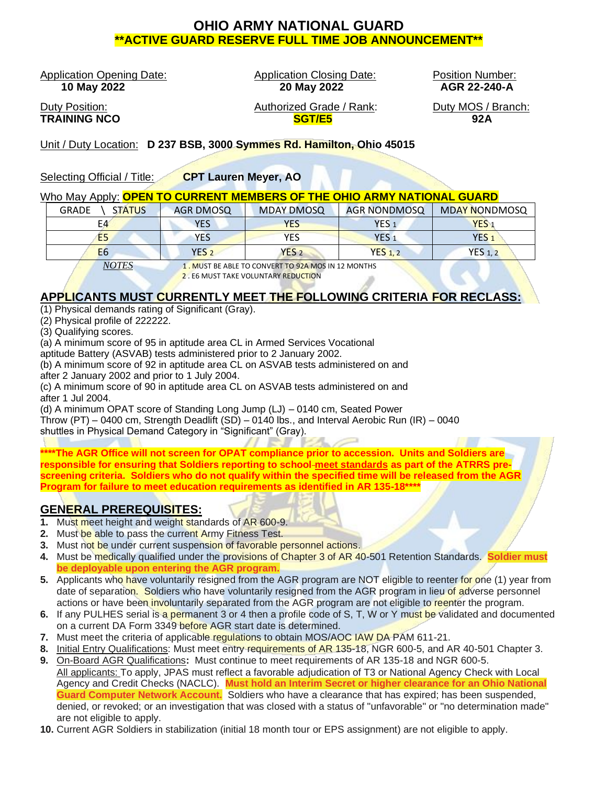# **OHIO ARMY NATIONAL GUARD \*\*ACTIVE GUARD RESERVE FULL TIME JOB ANNOUNCEMENT\*\***

Application Opening Date: Application Closing Date: Position Number:

 **10 May 2022 20 May 2022 AGR 22-240-A**

Duty Position: Authorized Grade / Rank: Duty MOS / Branch: **TRAINING NCO SGT/E5 92A**

Unit / Duty Location: **D 237 BSB, 3000 Symmes Rd. Hamilton, Ohio 45015**

Selecting Official / Title: **CPT Lauren Meyer, AO**

#### Who May Apply: **OPEN TO CURRENT MEMBERS OF THE OHIO ARMY NATIONAL GUARD**

| <b>GRADE</b><br><b>STATUS</b> | AGR DMOSQ                                          | <b>MDAY DMOSQ</b> | <b>AGR NONDMOSQ</b> | <b>MDAY NONDMOSQ</b> |
|-------------------------------|----------------------------------------------------|-------------------|---------------------|----------------------|
| E4                            | <b>YES</b>                                         | <b>YES</b>        | YES <sub>1</sub>    | YES <sub>1</sub>     |
| E <sub>5</sub>                | <b>YES</b>                                         | YES               | YES <sub>1</sub>    | YES <sub>1</sub>     |
| E <sub>6</sub>                | YES <sub>2</sub>                                   | YES <sub>2</sub>  | YES <sub>1.2</sub>  | <b>YES 1, 2</b>      |
| <b>NOTES</b>                  | 1. MUST BE ABLE TO CONVERT TO 92A MOS IN 12 MONTHS |                   |                     |                      |

2 . F6 MUST TAKE VOLUNTARY REDUCTION

## **APPLICANTS MUST CURRENTLY MEET THE FOLLOWING CRITERIA FOR RECLASS:**

- (1) Physical demands rating of Significant (Gray).
- (2) Physical profile of 222222.
- (3) Qualifying scores.

(a) A minimum score of 95 in aptitude area CL in Armed Services Vocational

aptitude Battery (ASVAB) tests administered prior to 2 January 2002.

(b) A minimum score of 92 in aptitude area CL on ASVAB tests administered on and after 2 January 2002 and prior to 1 July 2004.

(c) A minimum score of 90 in aptitude area CL on ASVAB tests administered on and after 1 Jul 2004.

(d) A minimum OPAT score of Standing Long Jump (LJ) – 0140 cm, Seated Power

Throw (PT) – 0400 cm, Strength Deadlift (SD) – 0140 lbs., and Interval Aerobic Run (IR) – 0040

shuttles in Physical Demand Category in "Significant" (Gray).

**\*\*\*\*The AGR Office will not screen for OPAT compliance prior to accession. Units and Soldiers are responsible for ensuring that Soldiers reporting to school meet standards as part of the ATRRS prescreening criteria. Soldiers who do not qualify within the specified time will be released from the AGR Program for failure to meet education requirements as identified in AR 135-18\*\*\*\***

## **GENERAL PREREQUISITES:**

- **1.** Must meet height and weight standards of AR 600-9.
- **2.** Must be able to pass the current Army Fitness Test.
- **3.** Must not be under current suspension of favorable personnel actions.
- **4.** Must be medically qualified under the provisions of Chapter 3 of AR 40-501 Retention Standards. **Soldier must be deployable upon entering the AGR program.**
- **5.** Applicants who have voluntarily resigned from the AGR program are NOT eligible to reenter for one (1) year from date of separation. Soldiers who have voluntarily resigned from the AGR program in lieu of adverse personnel actions or have been involuntarily separated from the AGR program are not eligible to reenter the program.
- **6.** If any PULHES serial is a permanent 3 or 4 then a profile code of S, T, W or Y must be validated and documented on a current DA Form 3349 before AGR start date is determined.
- **7.** Must meet the criteria of applicable regulations to obtain MOS/AOC IAW DA PAM 611-21.
- **8.** Initial Entry Qualifications: Must meet entry requirements of AR 135-18, NGR 600-5, and AR 40-501 Chapter 3.
- **9.** On-Board AGR Qualifications**:** Must continue to meet requirements of AR 135-18 and NGR 600-5. All applicants: To apply, JPAS must reflect a favorable adjudication of T3 or National Agency Check with Local Agency and Credit Checks (NACLC). **Must hold an Interim Secret or higher clearance for an Ohio National Guard Computer Network Account.** Soldiers who have a clearance that has expired; has been suspended, denied, or revoked; or an investigation that was closed with a status of "unfavorable" or "no determination made" are not eligible to apply.
- **10.** Current AGR Soldiers in stabilization (initial 18 month tour or EPS assignment) are not eligible to apply.